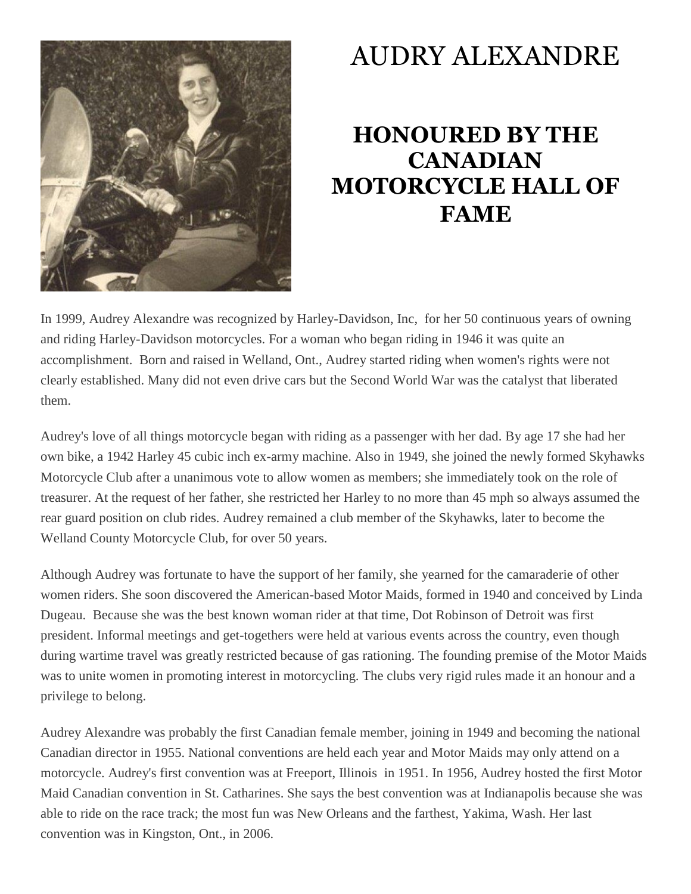

## AUDRY ALEXANDRE

## **HONOURED BY THE CANADIAN MOTORCYCLE HALL OF FAME**

In 1999, Audrey Alexandre was recognized by Harley-Davidson, Inc, for her 50 continuous years of owning and riding Harley-Davidson motorcycles. For a woman who began riding in 1946 it was quite an accomplishment. Born and raised in Welland, Ont., Audrey started riding when women's rights were not clearly established. Many did not even drive cars but the Second World War was the catalyst that liberated them.

Audrey's love of all things motorcycle began with riding as a passenger with her dad. By age 17 she had her own bike, a 1942 Harley 45 cubic inch ex-army machine. Also in 1949, she joined the newly formed Skyhawks Motorcycle Club after a unanimous vote to allow women as members; she immediately took on the role of treasurer. At the request of her father, she restricted her Harley to no more than 45 mph so always assumed the rear guard position on club rides. Audrey remained a club member of the Skyhawks, later to become the Welland County Motorcycle Club, for over 50 years.

Although Audrey was fortunate to have the support of her family, she yearned for the camaraderie of other women riders. She soon discovered the American-based Motor Maids, formed in 1940 and conceived by Linda Dugeau. Because she was the best known woman rider at that time, Dot Robinson of Detroit was first president. Informal meetings and get-togethers were held at various events across the country, even though during wartime travel was greatly restricted because of gas rationing. The founding premise of the Motor Maids was to unite women in promoting interest in motorcycling. The clubs very rigid rules made it an honour and a privilege to belong.

Audrey Alexandre was probably the first Canadian female member, joining in 1949 and becoming the national Canadian director in 1955. National conventions are held each year and Motor Maids may only attend on a motorcycle. Audrey's first convention was at Freeport, Illinois in 1951. In 1956, Audrey hosted the first Motor Maid Canadian convention in St. Catharines. She says the best convention was at Indianapolis because she was able to ride on the race track; the most fun was New Orleans and the farthest, Yakima, Wash. Her last convention was in Kingston, Ont., in 2006.